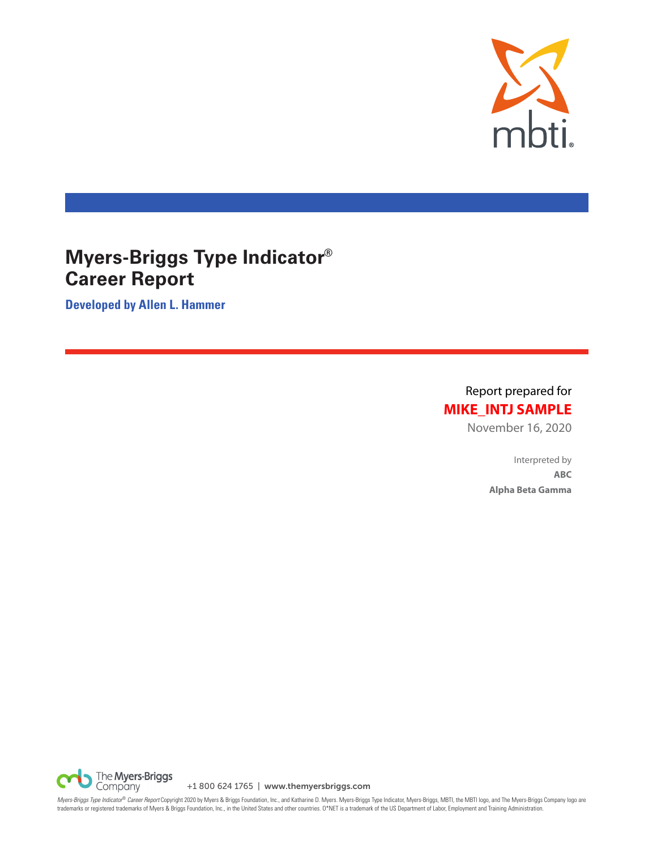

# **Myers-Briggs Type Indicator® Career Report**

**Developed by Allen L. Hammer**

Report prepared for **MIKE\_INTJ SAMPLE**

November 16, 2020

Interpreted by **ABC Alpha Beta Gamma**

The **Myers-Briggs**<br>Company +1 800 624 1765 | www.themyersbriggs.com

*Myers-Briggs Type Indicator® Career Report* Copyright 2020 by Myers & Briggs Foundation, Inc., and Katharine D. Myers. Myers-Briggs Type Indicator, Myers-Briggs, MBTI, the MBTI logo, and The Myers-Briggs Company logo are<br>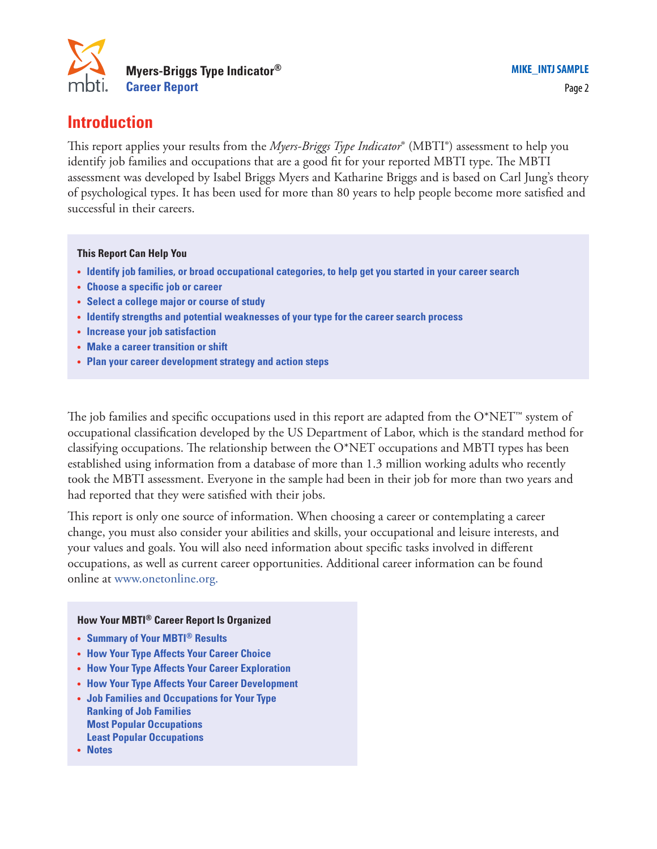

This report applies your results from the *Myers-Briggs Type Indicator*® (MBTI®) assessment to help you identify job families and occupations that are a good fit for your reported MBTI type. The MBTI assessment was developed by Isabel Briggs Myers and Katharine Briggs and is based on Carl Jung's theory of psychological types. It has been used for more than 80 years to help people become more satisfied and successful in their careers.

#### **This Report Can Help You**

- **• Identify job families, or broad occupational categories, to help get you started in your career search**
- **• Choose a specific job or career**
- **• Select a college major or course of study**
- **• Identify strengths and potential weaknesses of your type for the career search process**
- **• Increase your job satisfaction**
- **• Make a career transition or shift**
- **• Plan your career development strategy and action steps**

The job families and specific occupations used in this report are adapted from the  $O^*NET^m$  system of occupational classification developed by the US Department of Labor, which is the standard method for classifying occupations. The relationship between the  $O^*NET$  occupations and MBTI types has been established using information from a database of more than 1.3 million working adults who recently took the MBTI assessment. Everyone in the sample had been in their job for more than two years and had reported that they were satisfied with their jobs.

This report is only one source of information. When choosing a career or contemplating a career change, you must also consider your abilities and skills, your occupational and leisure interests, and your values and goals. You will also need information about specific tasks involved in different occupations, as well as current career opportunities. Additional career information can be found online at www.onetonline.org.

#### **How Your MBTI® Career Report Is Organized**

- **• Summary of Your MBTI® Results**
- **• How Your Type Affects Your Career Choice**
- **• How Your Type Affects Your Career Exploration**
- **• How Your Type Affects Your Career Development**
- **• Job Families and Occupations for Your Type Ranking of Job Families Most Popular Occupations Least Popular Occupations**
- **• Notes**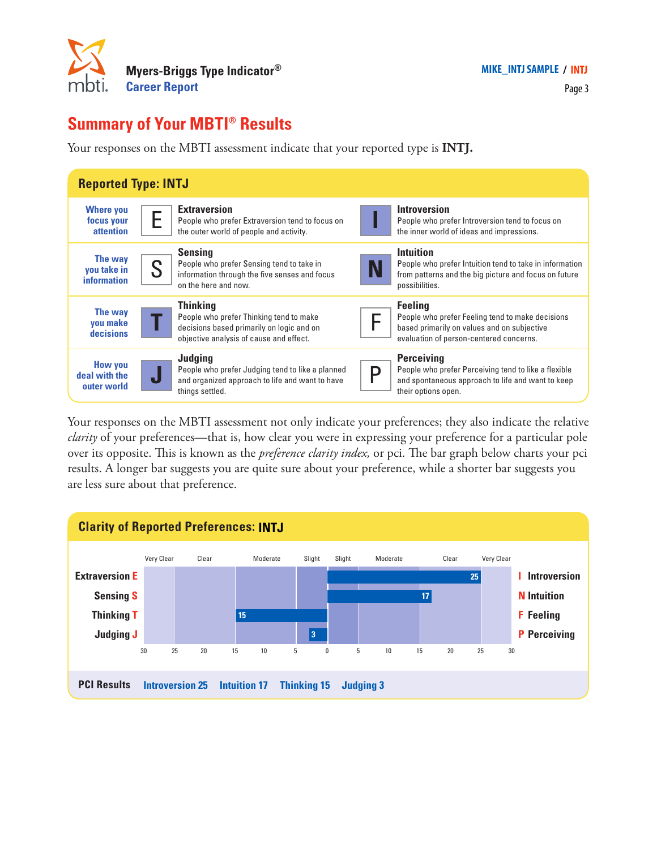

# **Summary of Your MBTI® Results**

Your responses on the MBTI assessment indicate that your reported type is **INTJ.**



Your responses on the MBTI assessment not only indicate your preferences; they also indicate the relative *clarity* of your preferences—that is, how clear you were in expressing your preference for a particular pole over its opposite. This is known as the *preference clarity index,* or pci. The bar graph below charts your pci results. A longer bar suggests you are quite sure about your preference, while a shorter bar suggests you are less sure about that preference.

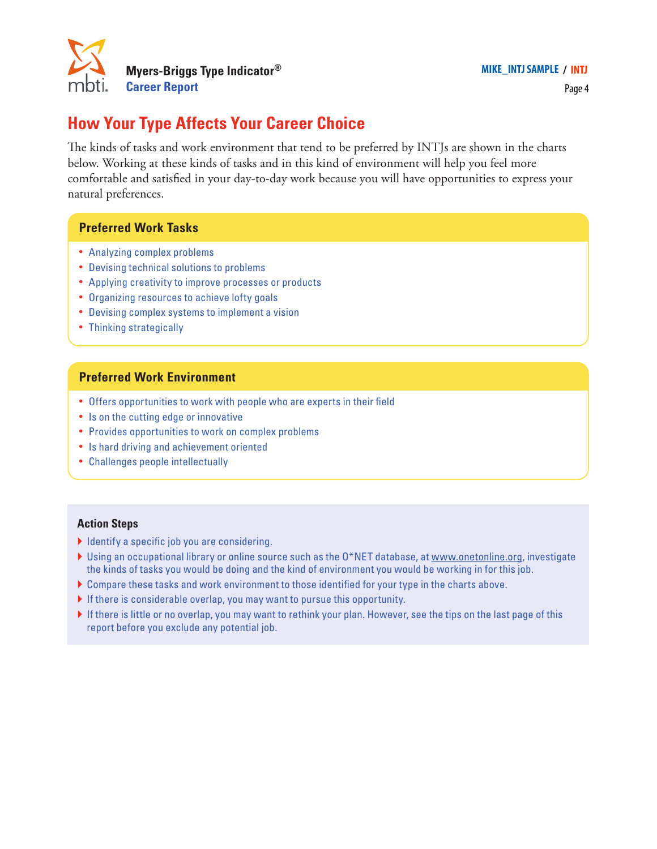

Page 4

# **How Your Type Affects Your Career Choice**

The kinds of tasks and work environment that tend to be preferred by INTJs are shown in the charts below. Working at these kinds of tasks and in this kind of environment will help you feel more comfortable and satisfied in your day-to-day work because you will have opportunities to express your natural preferences.

### **Preferred Work Tasks**

- **•** Analyzing complex problems
- **•** Devising technical solutions to problems
- **•** Applying creativity to improve processes or products
- **•** Organizing resources to achieve lofty goals
- **•** Devising complex systems to implement a vision
- **•** Thinking strategically

### **Preferred Work Environment**

- **•** Offers opportunities to work with people who are experts in their field
- **•** Is on the cutting edge or innovative
- **•** Provides opportunities to work on complex problems
- **•** Is hard driving and achievement oriented
- **•** Challenges people intellectually

- $\blacktriangleright$  Identify a specific job you are considering.
- } Using an occupational library or online source such as the O\*NET database, at www.onetonline.org, investigate the kinds of tasks you would be doing and the kind of environment you would be working in for this job.
- } Compare these tasks and work environment to those identified for your type in the charts above.
- If there is considerable overlap, you may want to pursue this opportunity.
- If there is little or no overlap, you may want to rethink your plan. However, see the tips on the last page of this report before you exclude any potential job.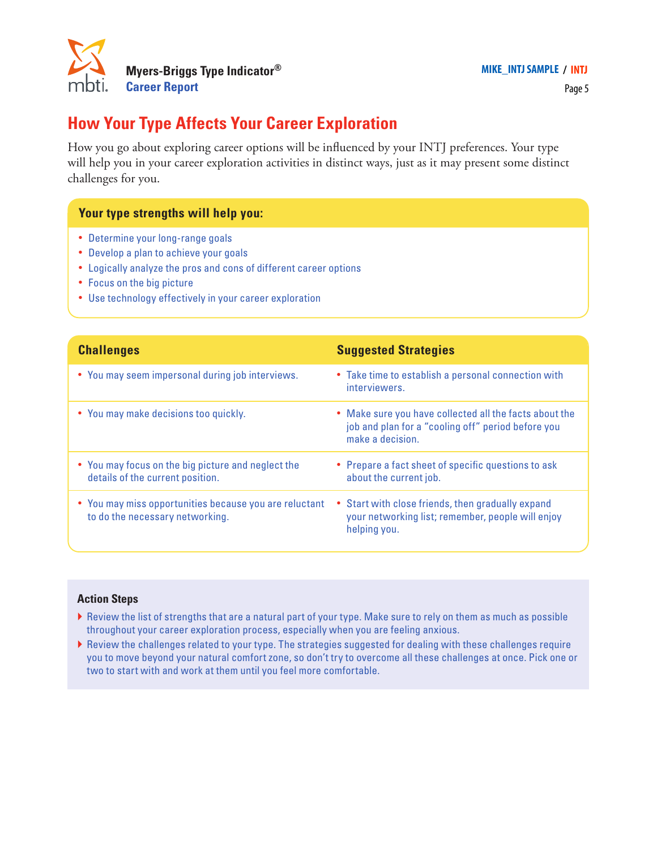

Page 5

## **How Your Type Affects Your Career Exploration**

How you go about exploring career options will be influenced by your INTJ preferences. Your type will help you in your career exploration activities in distinct ways, just as it may present some distinct challenges for you.

### **Your type strengths will help you:**

- **•** Determine your long-range goals
- **•** Develop a plan to achieve your goals
- **•** Logically analyze the pros and cons of different career options
- **•** Focus on the big picture
- **•** Use technology effectively in your career exploration

| <b>Challenges</b>                                                                         | <b>Suggested Strategies</b>                                                                                                      |
|-------------------------------------------------------------------------------------------|----------------------------------------------------------------------------------------------------------------------------------|
| • You may seem impersonal during job interviews.                                          | • Take time to establish a personal connection with<br>interviewers.                                                             |
| • You may make decisions too quickly.                                                     | • Make sure you have collected all the facts about the<br>job and plan for a "cooling off" period before you<br>make a decision. |
| • You may focus on the big picture and neglect the<br>details of the current position.    | • Prepare a fact sheet of specific questions to ask<br>about the current job.                                                    |
| • You may miss opportunities because you are reluctant<br>to do the necessary networking. | Start with close friends, then gradually expand<br>٠<br>your networking list; remember, people will enjoy<br>helping you.        |

- } Review the list of strengths that are a natural part of your type. Make sure to rely on them as much as possible throughout your career exploration process, especially when you are feeling anxious.
- } Review the challenges related to your type. The strategies suggested for dealing with these challenges require you to move beyond your natural comfort zone, so don't try to overcome all these challenges at once. Pick one or two to start with and work at them until you feel more comfortable.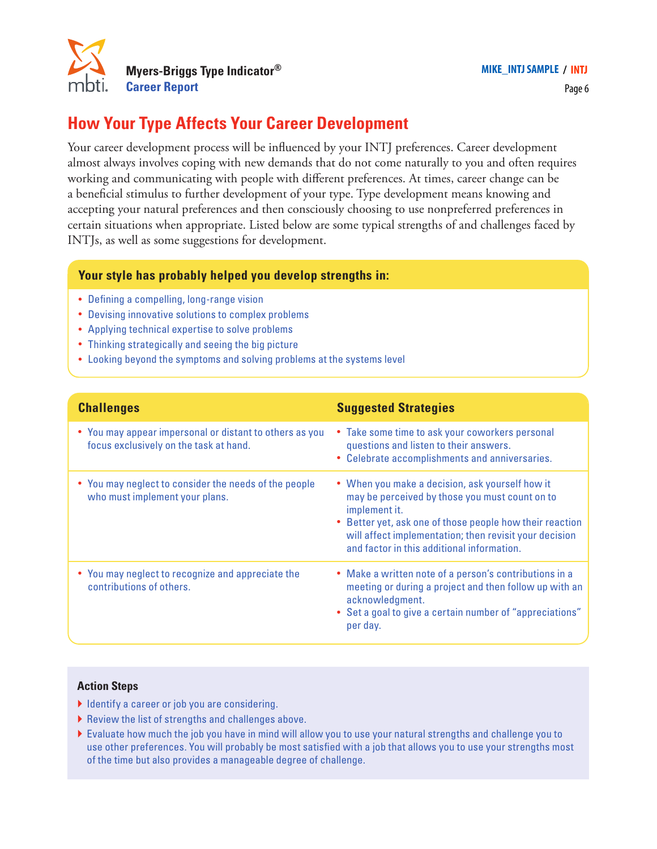

## **How Your Type Affects Your Career Development**

Your career development process will be influenced by your INTJ preferences. Career development almost always involves coping with new demands that do not come naturally to you and often requires working and communicating with people with different preferences. At times, career change can be a beneficial stimulus to further development of your type. Type development means knowing and accepting your natural preferences and then consciously choosing to use nonpreferred preferences in certain situations when appropriate. Listed below are some typical strengths of and challenges faced by INTJs, as well as some suggestions for development.

### **Your style has probably helped you develop strengths in:**

- **•** Defining a compelling, long-range vision
- **•** Devising innovative solutions to complex problems
- **•** Applying technical expertise to solve problems
- **•** Thinking strategically and seeing the big picture
- **•** Looking beyond the symptoms and solving problems at the systems level

| <b>Challenges</b>                                                                                 | <b>Suggested Strategies</b>                                                                                                                                                                                                                                                          |
|---------------------------------------------------------------------------------------------------|--------------------------------------------------------------------------------------------------------------------------------------------------------------------------------------------------------------------------------------------------------------------------------------|
| • You may appear impersonal or distant to others as you<br>focus exclusively on the task at hand. | • Take some time to ask your coworkers personal<br>questions and listen to their answers.<br>• Celebrate accomplishments and anniversaries.                                                                                                                                          |
| • You may neglect to consider the needs of the people<br>who must implement your plans.           | • When you make a decision, ask yourself how it<br>may be perceived by those you must count on to<br>implement it.<br>Better yet, ask one of those people how their reaction<br>will affect implementation; then revisit your decision<br>and factor in this additional information. |
| • You may neglect to recognize and appreciate the<br>contributions of others.                     | • Make a written note of a person's contributions in a<br>meeting or during a project and then follow up with an<br>acknowledgment.<br>• Set a goal to give a certain number of "appreciations"<br>per day.                                                                          |

- I Identify a career or job you are considering.
- } Review the list of strengths and challenges above.
- } Evaluate how much the job you have in mind will allow you to use your natural strengths and challenge you to use other preferences. You will probably be most satisfied with a job that allows you to use your strengths most of the time but also provides a manageable degree of challenge.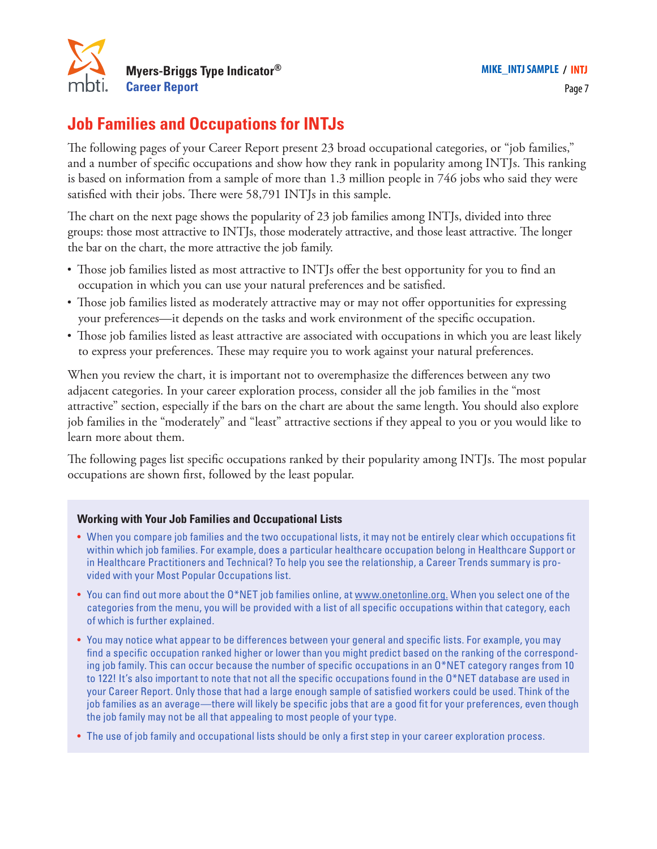

# **Job Families and Occupations for INTJs**

The following pages of your Career Report present 23 broad occupational categories, or "job families," and a number of specific occupations and show how they rank in popularity among INTJs. This ranking is based on information from a sample of more than 1.3 million people in 746 jobs who said they were satisfied with their jobs. There were 58,791 INTJs in this sample.

The chart on the next page shows the popularity of 23 job families among INTJs, divided into three groups: those most attractive to INTJs, those moderately attractive, and those least attractive. The longer the bar on the chart, the more attractive the job family.

- **•** Those job families listed as most attractive to INTJs offer the best opportunity for you to find an occupation in which you can use your natural preferences and be satisfied.
- Those job families listed as moderately attractive may or may not offer opportunities for expressing your preferences—it depends on the tasks and work environment of the specific occupation.
- **•** Those job families listed as least attractive are associated with occupations in which you are least likely to express your preferences. These may require you to work against your natural preferences.

When you review the chart, it is important not to overemphasize the differences between any two adjacent categories. In your career exploration process, consider all the job families in the "most attractive" section, especially if the bars on the chart are about the same length. You should also explore job families in the "moderately" and "least" attractive sections if they appeal to you or you would like to learn more about them.

The following pages list specific occupations ranked by their popularity among INTJs. The most popular occupations are shown first, followed by the least popular.

### **Working with Your Job Families and Occupational Lists**

- When you compare job families and the two occupational lists, it may not be entirely clear which occupations fit within which job families. For example, does a particular healthcare occupation belong in Healthcare Support or in Healthcare Practitioners and Technical? To help you see the relationship, a Career Trends summary is provided with your Most Popular Occupations list.
- You can find out more about the O\*NET job families online, at www.onetonline.org. When you select one of the categories from the menu, you will be provided with a list of all specific occupations within that category, each of which is further explained.
- You may notice what appear to be differences between your general and specific lists. For example, you may find a specific occupation ranked higher or lower than you might predict based on the ranking of the corresponding job family. This can occur because the number of specific occupations in an O\*NET category ranges from 10 to 122! It's also important to note that not all the specific occupations found in the O\*NET database are used in your Career Report. Only those that had a large enough sample of satisfied workers could be used. Think of the job families as an average—there will likely be specific jobs that are a good fit for your preferences, even though the job family may not be all that appealing to most people of your type.
- The use of job family and occupational lists should be only a first step in your career exploration process.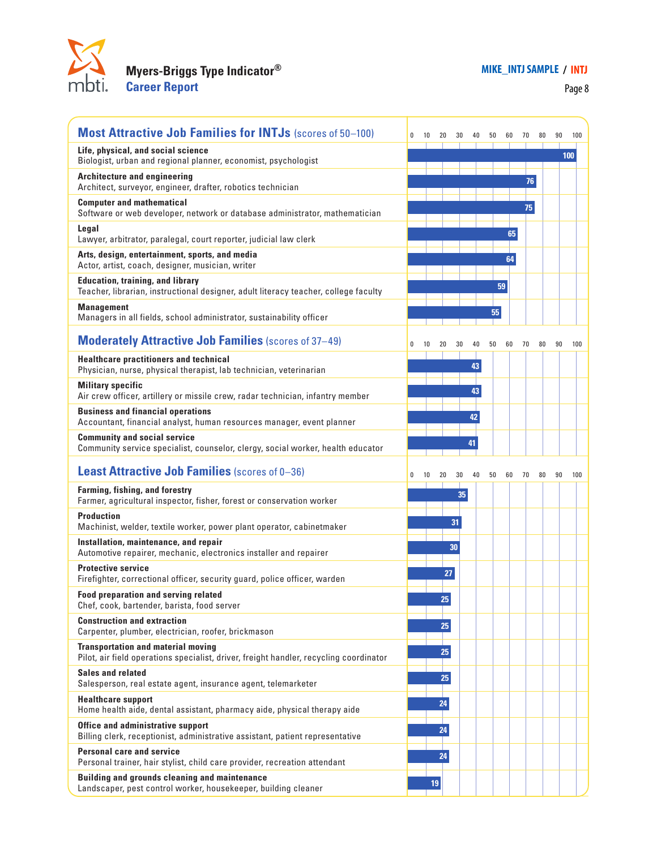

## **Myers-Briggs Type Indicator® Career Report**

Page 8

| <b>Most Attractive Job Families for INTJs (scores of 50-100)</b>                                                                    | 0 | 10 |    | 30 | 40 | 50 |    |    | 70 | 80 | 90  | 100 |
|-------------------------------------------------------------------------------------------------------------------------------------|---|----|----|----|----|----|----|----|----|----|-----|-----|
| Life, physical, and social science<br>Biologist, urban and regional planner, economist, psychologist                                |   |    |    |    |    |    |    |    |    |    | 100 |     |
| <b>Architecture and engineering</b><br>Architect, surveyor, engineer, drafter, robotics technician                                  |   |    |    |    |    |    |    |    | 76 |    |     |     |
| <b>Computer and mathematical</b><br>Software or web developer, network or database administrator, mathematician                     |   |    |    |    |    |    |    |    | 75 |    |     |     |
| Legal<br>Lawyer, arbitrator, paralegal, court reporter, judicial law clerk                                                          |   |    |    |    |    |    |    | 65 |    |    |     |     |
| Arts, design, entertainment, sports, and media<br>Actor, artist, coach, designer, musician, writer                                  |   |    |    |    |    |    | 64 |    |    |    |     |     |
| <b>Education, training, and library</b><br>Teacher, librarian, instructional designer, adult literacy teacher, college faculty      |   |    |    |    |    |    | 59 |    |    |    |     |     |
| <b>Management</b><br>Managers in all fields, school administrator, sustainability officer                                           |   |    |    |    |    | 55 |    |    |    |    |     |     |
| <b>Moderately Attractive Job Families (scores of 37-49)</b>                                                                         | 0 | 10 | 20 | 30 | 40 | 50 | 60 |    | 70 | 80 | 90  | 100 |
| <b>Healthcare practitioners and technical</b><br>Physician, nurse, physical therapist, lab technician, veterinarian                 |   |    |    |    | 43 |    |    |    |    |    |     |     |
| <b>Military specific</b><br>Air crew officer, artillery or missile crew, radar technician, infantry member                          |   |    |    |    | 43 |    |    |    |    |    |     |     |
| <b>Business and financial operations</b><br>Accountant, financial analyst, human resources manager, event planner                   |   |    |    |    | 42 |    |    |    |    |    |     |     |
| <b>Community and social service</b><br>Community service specialist, counselor, clergy, social worker, health educator              |   |    |    |    | 41 |    |    |    |    |    |     |     |
|                                                                                                                                     |   |    |    |    |    |    |    |    |    |    |     |     |
| <b>Least Attractive Job Families (scores of 0-36)</b>                                                                               | 0 | 10 | 20 | 30 | 40 | 50 | 60 |    | 70 | 80 | 90  | 100 |
| Farming, fishing, and forestry<br>Farmer, agricultural inspector, fisher, forest or conservation worker                             |   |    |    | 35 |    |    |    |    |    |    |     |     |
| <b>Production</b><br>Machinist, welder, textile worker, power plant operator, cabinetmaker                                          |   |    |    | 31 |    |    |    |    |    |    |     |     |
| Installation, maintenance, and repair<br>Automotive repairer, mechanic, electronics installer and repairer                          |   |    |    | 30 |    |    |    |    |    |    |     |     |
| <b>Protective service</b><br>Firefighter, correctional officer, security guard, police officer, warden                              |   |    | 27 |    |    |    |    |    |    |    |     |     |
| <b>Food preparation and serving related</b><br>Chef, cook, bartender, barista, food server                                          |   |    | 25 |    |    |    |    |    |    |    |     |     |
| <b>Construction and extraction</b><br>Carpenter, plumber, electrician, roofer, brickmason                                           |   |    | 25 |    |    |    |    |    |    |    |     |     |
| <b>Transportation and material moving</b><br>Pilot, air field operations specialist, driver, freight handler, recycling coordinator |   |    | 25 |    |    |    |    |    |    |    |     |     |
| <b>Sales and related</b><br>Salesperson, real estate agent, insurance agent, telemarketer                                           |   |    | 25 |    |    |    |    |    |    |    |     |     |
| <b>Healthcare support</b><br>Home health aide, dental assistant, pharmacy aide, physical therapy aide                               |   |    | 24 |    |    |    |    |    |    |    |     |     |
| Office and administrative support<br>Billing clerk, receptionist, administrative assistant, patient representative                  |   |    | 24 |    |    |    |    |    |    |    |     |     |
| <b>Personal care and service</b><br>Personal trainer, hair stylist, child care provider, recreation attendant                       |   |    | 24 |    |    |    |    |    |    |    |     |     |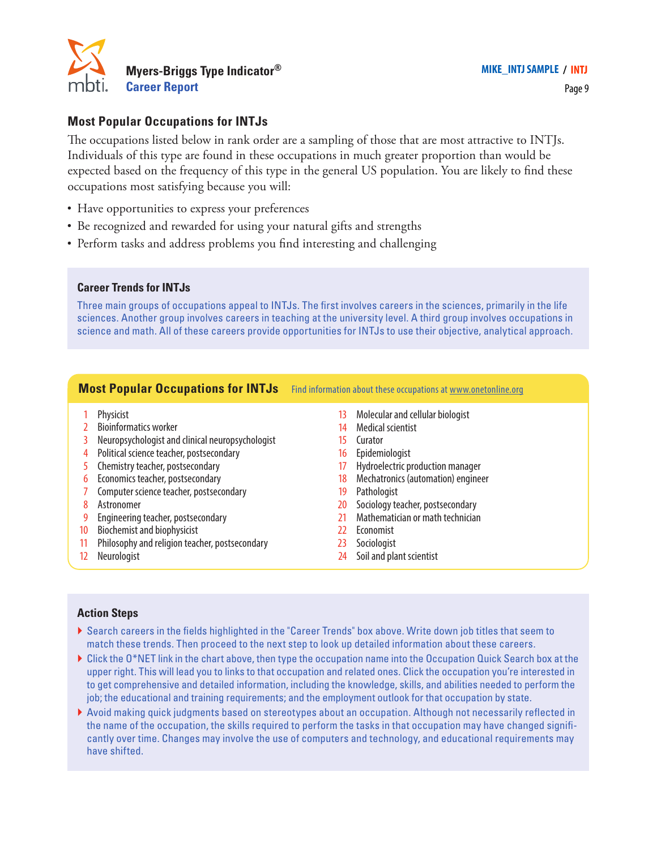

### **Most Popular Occupations for INTJs**

The occupations listed below in rank order are a sampling of those that are most attractive to INTJs. Individuals of this type are found in these occupations in much greater proportion than would be expected based on the frequency of this type in the general US population. You are likely to find these occupations most satisfying because you will:

- **•** Have opportunities to express your preferences
- **•** Be recognized and rewarded for using your natural gifts and strengths
- **•** Perform tasks and address problems you find interesting and challenging

#### **Career Trends for INTJs**

Three main groups of occupations appeal to INTJs. The first involves careers in the sciences, primarily in the life sciences. Another group involves careers in teaching at the university level. A third group involves occupations in science and math. All of these careers provide opportunities for INTJs to use their objective, analytical approach.

#### **Most Popular Occupations for INTJs** Find information about these occupations at www.onetonline.org

- 1 Physicist
- 2 Bioinformatics worker
- 3 Neuropsychologist and clinical neuropsychologist
- 4 Political science teacher, postsecondary
- 5 Chemistry teacher, postsecondary
- 6 Economics teacher, postsecondary
- 7 Computer science teacher, postsecondary
- 8 Astronomer
- 9 Engineering teacher, postsecondary
- 10 Biochemist and biophysicist
- 11 Philosophy and religion teacher, postsecondary
- 12 Neurologist
- 13 Molecular and cellular biologist
- 14 Medical scientist
- 15 Curator
- 16 Epidemiologist
- 17 Hydroelectric production manager
- 18 Mechatronics (automation) engineer
- 19 Pathologist
- 20 Sociology teacher, postsecondary
- 21 Mathematician or math technician
- 22 Economist
- 23 Sociologist
- 24 Soil and plant scientist

- } Search careers in the fields highlighted in the "Career Trends" box above. Write down job titles that seem to match these trends. Then proceed to the next step to look up detailed information about these careers.
- } Click the O\*NET link in the chart above, then type the occupation name into the Occupation Quick Search box at the upper right. This will lead you to links to that occupation and related ones. Click the occupation you're interested in to get comprehensive and detailed information, including the knowledge, skills, and abilities needed to perform the job; the educational and training requirements; and the employment outlook for that occupation by state.
- } Avoid making quick judgments based on stereotypes about an occupation. Although not necessarily reflected in the name of the occupation, the skills required to perform the tasks in that occupation may have changed significantly over time. Changes may involve the use of computers and technology, and educational requirements may have shifted.